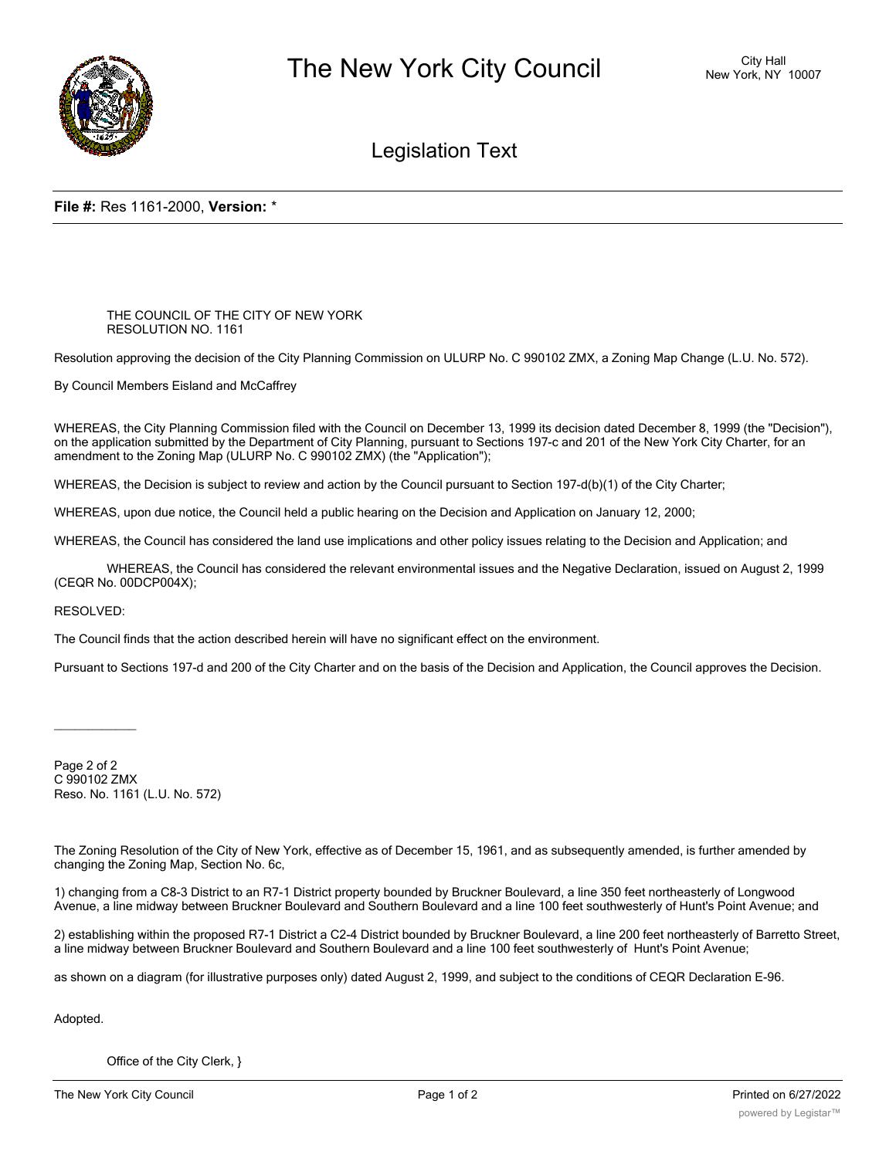

# Legislation Text

### **File #:** Res 1161-2000, **Version:** \*

#### THE COUNCIL OF THE CITY OF NEW YORK RESOLUTION NO. 1161

Resolution approving the decision of the City Planning Commission on ULURP No. C 990102 ZMX, a Zoning Map Change (L.U. No. 572).

By Council Members Eisland and McCaffrey

WHEREAS, the City Planning Commission filed with the Council on December 13, 1999 its decision dated December 8, 1999 (the "Decision"), on the application submitted by the Department of City Planning, pursuant to Sections 197-c and 201 of the New York City Charter, for an amendment to the Zoning Map (ULURP No. C 990102 ZMX) (the "Application");

WHEREAS, the Decision is subject to review and action by the Council pursuant to Section 197-d(b)(1) of the City Charter;

WHEREAS, upon due notice, the Council held a public hearing on the Decision and Application on January 12, 2000;

WHEREAS, the Council has considered the land use implications and other policy issues relating to the Decision and Application; and

WHEREAS, the Council has considered the relevant environmental issues and the Negative Declaration, issued on August 2, 1999 (CEQR No. 00DCP004X);

#### RESOLVED:

 $\overline{\phantom{a}}$ 

The Council finds that the action described herein will have no significant effect on the environment.

Pursuant to Sections 197-d and 200 of the City Charter and on the basis of the Decision and Application, the Council approves the Decision.

Page 2 of 2 C 990102 ZMX Reso. No. 1161 (L.U. No. 572)

The Zoning Resolution of the City of New York, effective as of December 15, 1961, and as subsequently amended, is further amended by changing the Zoning Map, Section No. 6c,

1) changing from a C8-3 District to an R7-1 District property bounded by Bruckner Boulevard, a line 350 feet northeasterly of Longwood Avenue, a line midway between Bruckner Boulevard and Southern Boulevard and a line 100 feet southwesterly of Hunt's Point Avenue; and

2) establishing within the proposed R7-1 District a C2-4 District bounded by Bruckner Boulevard, a line 200 feet northeasterly of Barretto Street, a line midway between Bruckner Boulevard and Southern Boulevard and a line 100 feet southwesterly of Hunt's Point Avenue;

as shown on a diagram (for illustrative purposes only) dated August 2, 1999, and subject to the conditions of CEQR Declaration E-96.

Adopted.

Office of the City Clerk, }